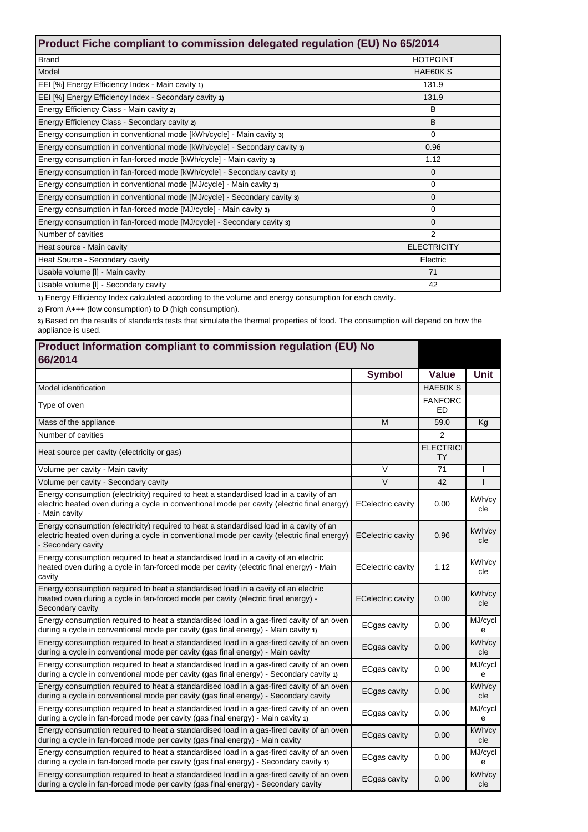| Product Fiche compliant to commission delegated regulation (EU) No 65/2014 |                    |  |  |
|----------------------------------------------------------------------------|--------------------|--|--|
| <b>Brand</b>                                                               | <b>HOTPOINT</b>    |  |  |
| Model                                                                      | HAE60KS            |  |  |
| EEI [%] Energy Efficiency Index - Main cavity 1)                           | 131.9              |  |  |
| EEI [%] Energy Efficiency Index - Secondary cavity 1)                      | 131.9              |  |  |
| Energy Efficiency Class - Main cavity 2)                                   | B                  |  |  |
| Energy Efficiency Class - Secondary cavity 2)                              | B                  |  |  |
| Energy consumption in conventional mode [kWh/cycle] - Main cavity 3)       | $\Omega$           |  |  |
| Energy consumption in conventional mode [kWh/cycle] - Secondary cavity 3)  | 0.96               |  |  |
| Energy consumption in fan-forced mode [kWh/cycle] - Main cavity 3)         | 1.12               |  |  |
| Energy consumption in fan-forced mode [kWh/cycle] - Secondary cavity 3)    | $\Omega$           |  |  |
| Energy consumption in conventional mode [MJ/cycle] - Main cavity 3)        | 0                  |  |  |
| Energy consumption in conventional mode [MJ/cycle] - Secondary cavity 3)   | $\mathbf{0}$       |  |  |
| Energy consumption in fan-forced mode [MJ/cycle] - Main cavity 3)          | 0                  |  |  |
| Energy consumption in fan-forced mode [MJ/cycle] - Secondary cavity 3)     | $\Omega$           |  |  |
| Number of cavities                                                         | 2                  |  |  |
| Heat source - Main cavity                                                  | <b>ELECTRICITY</b> |  |  |
| Heat Source - Secondary cavity                                             | Electric           |  |  |
| Usable volume [I] - Main cavity                                            | 71                 |  |  |
| Usable volume [I] - Secondary cavity                                       | 42                 |  |  |

**1)** Energy Efficiency Index calculated according to the volume and energy consumption for each cavity.

**2)** From A+++ (low consumption) to D (high consumption).

**3)** Based on the results of standards tests that simulate the thermal properties of food. The consumption will depend on how the appliance is used.

| Product Information compliant to commission regulation (EU) No<br>66/2014                                                                                                                                    |                          |                               |               |
|--------------------------------------------------------------------------------------------------------------------------------------------------------------------------------------------------------------|--------------------------|-------------------------------|---------------|
|                                                                                                                                                                                                              | <b>Symbol</b>            | Value                         | <b>Unit</b>   |
| Model identification                                                                                                                                                                                         |                          | HAE60K S                      |               |
| Type of oven                                                                                                                                                                                                 |                          | <b>FANFORC</b><br><b>ED</b>   |               |
| Mass of the appliance                                                                                                                                                                                        | M                        | 59.0                          | Kg            |
| Number of cavities                                                                                                                                                                                           |                          | $\overline{2}$                |               |
| Heat source per cavity (electricity or gas)                                                                                                                                                                  |                          | <b>ELECTRICI</b><br><b>TY</b> |               |
| Volume per cavity - Main cavity                                                                                                                                                                              | $\vee$                   | 71                            |               |
| Volume per cavity - Secondary cavity                                                                                                                                                                         | $\vee$                   | 42                            | T             |
| Energy consumption (electricity) required to heat a standardised load in a cavity of an<br>electric heated oven during a cycle in conventional mode per cavity (electric final energy)<br>- Main cavity      | <b>ECelectric cavity</b> | 0.00                          | kWh/cy<br>cle |
| Energy consumption (electricity) required to heat a standardised load in a cavity of an<br>electric heated oven during a cycle in conventional mode per cavity (electric final energy)<br>- Secondary cavity | <b>ECelectric cavity</b> | 0.96                          | kWh/cy<br>cle |
| Energy consumption required to heat a standardised load in a cavity of an electric<br>heated oven during a cycle in fan-forced mode per cavity (electric final energy) - Main<br>cavity                      | <b>ECelectric cavity</b> | 1.12                          | kWh/cy<br>cle |
| Energy consumption required to heat a standardised load in a cavity of an electric<br>heated oven during a cycle in fan-forced mode per cavity (electric final energy) -<br>Secondary cavity                 | <b>ECelectric cavity</b> | 0.00                          | kWh/cy<br>cle |
| Energy consumption required to heat a standardised load in a gas-fired cavity of an oven<br>during a cycle in conventional mode per cavity (gas final energy) - Main cavity 1)                               | <b>ECgas cavity</b>      | 0.00                          | MJ/cycl<br>e  |
| Energy consumption required to heat a standardised load in a gas-fired cavity of an oven<br>during a cycle in conventional mode per cavity (gas final energy) - Main cavity                                  | <b>ECgas cavity</b>      | 0.00                          | kWh/cy<br>cle |
| Energy consumption required to heat a standardised load in a gas-fired cavity of an oven<br>during a cycle in conventional mode per cavity (gas final energy) - Secondary cavity 1)                          | ECgas cavity             | 0.00                          | MJ/cycl<br>e  |
| Energy consumption required to heat a standardised load in a gas-fired cavity of an oven<br>during a cycle in conventional mode per cavity (gas final energy) - Secondary cavity                             | ECgas cavity             | 0.00                          | kWh/cy<br>cle |
| Energy consumption required to heat a standardised load in a gas-fired cavity of an oven<br>during a cycle in fan-forced mode per cavity (gas final energy) - Main cavity 1)                                 | ECgas cavity             | 0.00                          | MJ/cycl<br>e  |
| Energy consumption required to heat a standardised load in a gas-fired cavity of an oven<br>during a cycle in fan-forced mode per cavity (gas final energy) - Main cavity                                    | <b>ECgas cavity</b>      | 0.00                          | kWh/cy<br>cle |
| Energy consumption required to heat a standardised load in a gas-fired cavity of an oven<br>during a cycle in fan-forced mode per cavity (gas final energy) - Secondary cavity 1)                            | ECgas cavity             | 0.00                          | MJ/cycl<br>e  |
| Energy consumption required to heat a standardised load in a gas-fired cavity of an oven<br>during a cycle in fan-forced mode per cavity (gas final energy) - Secondary cavity                               | <b>ECgas cavity</b>      | 0.00                          | kWh/cy<br>cle |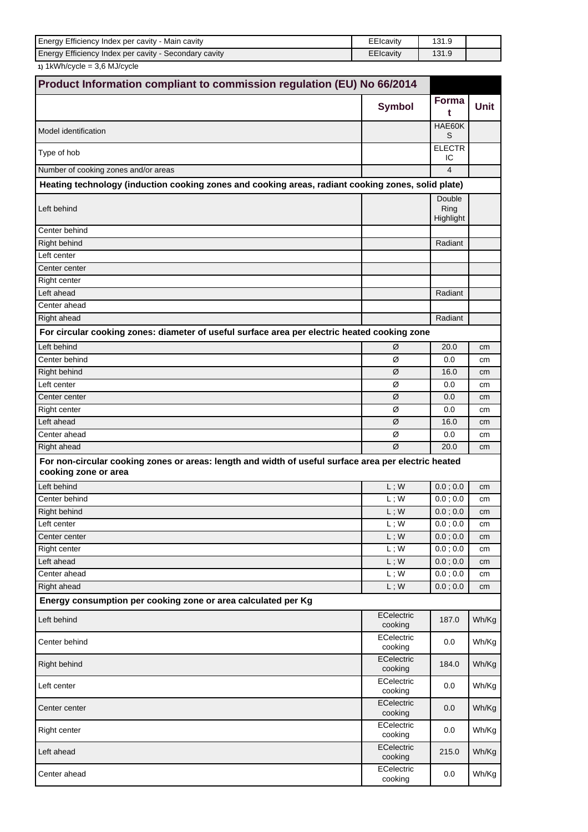| Energy Efficiency Index per cavity - Main cavity      | EEIcavity | 1 ລ 4 ດ |  |
|-------------------------------------------------------|-----------|---------|--|
| Energy Efficiency Index per cavity - Secondary cavity | EEIcavity | 131.9   |  |

**1)** 1kWh/cycle = 3,6 MJ/cycle

|                                                                                                                              | Product Information compliant to commission regulation (EU) No 66/2014 |                             |             |
|------------------------------------------------------------------------------------------------------------------------------|------------------------------------------------------------------------|-----------------------------|-------------|
|                                                                                                                              | <b>Symbol</b>                                                          | Forma<br>t                  | <b>Unit</b> |
| Model identification                                                                                                         |                                                                        | HAE60K<br>S                 |             |
| Type of hob                                                                                                                  |                                                                        | <b>ELECTR</b><br>ΙC         |             |
| Number of cooking zones and/or areas                                                                                         |                                                                        | $\overline{\mathbf{4}}$     |             |
| Heating technology (induction cooking zones and cooking areas, radiant cooking zones, solid plate)                           |                                                                        |                             |             |
| Left behind                                                                                                                  |                                                                        | Double<br>Ring<br>Highlight |             |
| Center behind                                                                                                                |                                                                        |                             |             |
| Right behind                                                                                                                 |                                                                        | Radiant                     |             |
| Left center                                                                                                                  |                                                                        |                             |             |
| Center center                                                                                                                |                                                                        |                             |             |
| Right center                                                                                                                 |                                                                        |                             |             |
| Left ahead                                                                                                                   |                                                                        | Radiant                     |             |
| Center ahead                                                                                                                 |                                                                        |                             |             |
| <b>Right ahead</b>                                                                                                           |                                                                        | Radiant                     |             |
| For circular cooking zones: diameter of useful surface area per electric heated cooking zone                                 |                                                                        |                             |             |
| Left behind                                                                                                                  | Ø                                                                      | 20.0                        | cm          |
| Center behind                                                                                                                | Ø                                                                      | 0.0                         | cm          |
| <b>Right behind</b>                                                                                                          | Ø                                                                      | 16.0                        | cm          |
| Left center                                                                                                                  | Ø                                                                      | 0.0                         | cm          |
| Center center                                                                                                                | Ø                                                                      | 0.0                         | cm          |
| Right center                                                                                                                 | Ø                                                                      | 0.0                         | cm          |
| Left ahead                                                                                                                   | Ø                                                                      | 16.0                        | cm          |
| Center ahead                                                                                                                 | Ø                                                                      | 0.0                         | cm          |
| Right ahead                                                                                                                  | Ø                                                                      | 20.0                        | cm          |
| For non-circular cooking zones or areas: length and width of useful surface area per electric heated<br>cooking zone or area |                                                                        |                             |             |
| Left behind                                                                                                                  | $\mathsf{L}$ ; $\mathsf{W}$                                            | 0.0; 0.0                    | cm          |
| Center behind                                                                                                                | L:W                                                                    | 0.0; 0.0                    | cm          |
| <b>Right behind</b>                                                                                                          | $L$ ; W                                                                | 0.0; 0.0                    | cm          |
| Left center                                                                                                                  | $L$ ; W                                                                | 0.0; 0.0                    | cm          |
| Center center                                                                                                                | $L$ ; W                                                                | 0.0; 0.0                    | cm          |
| <b>Right center</b>                                                                                                          | $L$ ; W                                                                | 0.0;0.0                     | cm          |
| Left ahead                                                                                                                   | $L$ ; W                                                                | 0.0; 0.0                    | cm          |
| Center ahead                                                                                                                 | $\mathsf{L}$ ; $\mathsf{W}$                                            | 0.0; 0.0                    | cm          |
| Right ahead                                                                                                                  | $\mathsf{L}$ ; $\mathsf{W}$                                            | 0.0; 0.0                    | cm          |
| Energy consumption per cooking zone or area calculated per Kg                                                                |                                                                        |                             |             |
| Left behind                                                                                                                  | ECelectric<br>cooking                                                  | 187.0                       | Wh/Kg       |
| Center behind                                                                                                                | ECelectric<br>cooking                                                  | 0.0                         | Wh/Kg       |
| Right behind                                                                                                                 | ECelectric<br>cooking                                                  | 184.0                       | Wh/Kg       |
| Left center                                                                                                                  | ECelectric<br>cooking                                                  | 0.0                         | Wh/Kg       |
| Center center                                                                                                                | ECelectric<br>cooking                                                  | 0.0                         | Wh/Kg       |
| Right center                                                                                                                 | ECelectric<br>cooking                                                  | 0.0                         | Wh/Kg       |
| Left ahead                                                                                                                   | ECelectric<br>cooking                                                  | 215.0                       | Wh/Kg       |
| Center ahead                                                                                                                 | ECelectric<br>cooking                                                  | 0.0                         | Wh/Kg       |